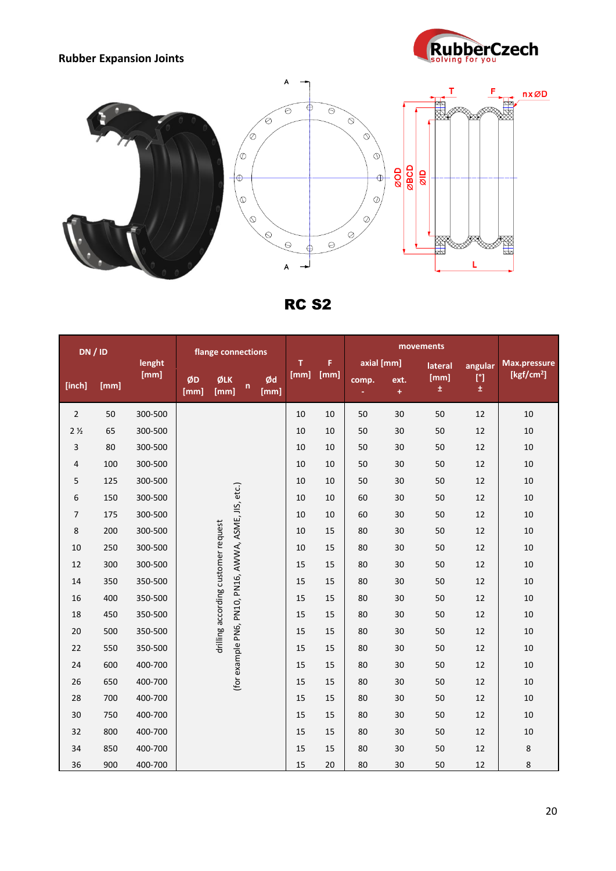## **Rubber Expansion Joints**





RC S2

| DN/ID          |      |         | flange connections                  |             |                                                      | T          | F.   |            |       |               |            |                     |                        |
|----------------|------|---------|-------------------------------------|-------------|------------------------------------------------------|------------|------|------------|-------|---------------|------------|---------------------|------------------------|
|                |      | lenght  |                                     |             |                                                      |            |      | axial [mm] |       | lateral       | angular    | <b>Max.pressure</b> |                        |
| [inch]         | [mm] | [mm]    | ØD<br>[mm]                          | ØLK<br>[mm] | n                                                    | Ød<br>[mm] | [mm] | [mm]       | comp. | ext.<br>$\pm$ | [mm]<br>±. | [°]<br>$\pm$        | [kgf/cm <sup>2</sup> ] |
| $\overline{2}$ | 50   | 300-500 |                                     |             |                                                      |            | 10   | 10         | 50    | 30            | 50         | 12                  | 10                     |
| 2 <sub>2</sub> | 65   | 300-500 |                                     |             |                                                      |            | 10   | 10         | 50    | 30            | 50         | 12                  | 10                     |
| 3              | 80   | 300-500 |                                     |             |                                                      |            | 10   | 10         | 50    | 30            | 50         | 12                  | 10                     |
| 4              | 100  | 300-500 |                                     |             |                                                      |            | 10   | 10         | 50    | 30            | 50         | 12                  | 10                     |
| 5              | 125  | 300-500 |                                     |             |                                                      |            | 10   | 10         | 50    | 30            | 50         | 12                  | 10                     |
| 6              | 150  | 300-500 |                                     |             |                                                      |            | 10   | 10         | 60    | 30            | 50         | 12                  | 10                     |
| $\overline{7}$ | 175  | 300-500 |                                     |             |                                                      |            | 10   | 10         | 60    | 30            | 50         | 12                  | 10                     |
| 8              | 200  | 300-500 |                                     |             |                                                      |            | 10   | 15         | 80    | 30            | 50         | 12                  | 10                     |
| 10             | 250  | 300-500 |                                     |             |                                                      |            | 10   | 15         | 80    | 30            | 50         | 12                  | 10                     |
| 12             | 300  | 300-500 |                                     |             |                                                      |            | 15   | 15         | 80    | 30            | 50         | 12                  | 10                     |
| 14             | 350  | 350-500 | drilling according customer request |             | (for example PN6, PN10, PN16, AWWA, ASME, JIS, etc.) |            | 15   | 15         | 80    | 30            | 50         | 12                  | 10                     |
| 16             | 400  | 350-500 |                                     |             |                                                      |            | 15   | 15         | 80    | 30            | 50         | 12                  | 10                     |
| 18             | 450  | 350-500 |                                     |             |                                                      |            | 15   | 15         | 80    | 30            | 50         | 12                  | 10                     |
| 20             | 500  | 350-500 |                                     |             |                                                      |            | 15   | 15         | 80    | 30            | 50         | 12                  | 10                     |
| 22             | 550  | 350-500 |                                     |             |                                                      |            | 15   | 15         | 80    | 30            | 50         | 12                  | 10                     |
| 24             | 600  | 400-700 |                                     |             |                                                      |            | 15   | 15         | 80    | 30            | 50         | 12                  | 10                     |
| 26             | 650  | 400-700 |                                     |             |                                                      |            | 15   | 15         | 80    | 30            | 50         | 12                  | 10                     |
| 28             | 700  | 400-700 |                                     |             |                                                      |            | 15   | 15         | 80    | 30            | 50         | 12                  | 10                     |
| 30             | 750  | 400-700 |                                     |             |                                                      |            | 15   | 15         | 80    | 30            | 50         | 12                  | 10                     |
| 32             | 800  | 400-700 |                                     |             |                                                      |            | 15   | 15         | 80    | 30            | 50         | 12                  | 10                     |
| 34             | 850  | 400-700 |                                     |             |                                                      |            | 15   | 15         | 80    | 30            | 50         | 12                  | $\,8\,$                |
| 36             | 900  | 400-700 |                                     |             |                                                      |            | 15   | 20         | 80    | 30            | 50         | 12                  | 8                      |